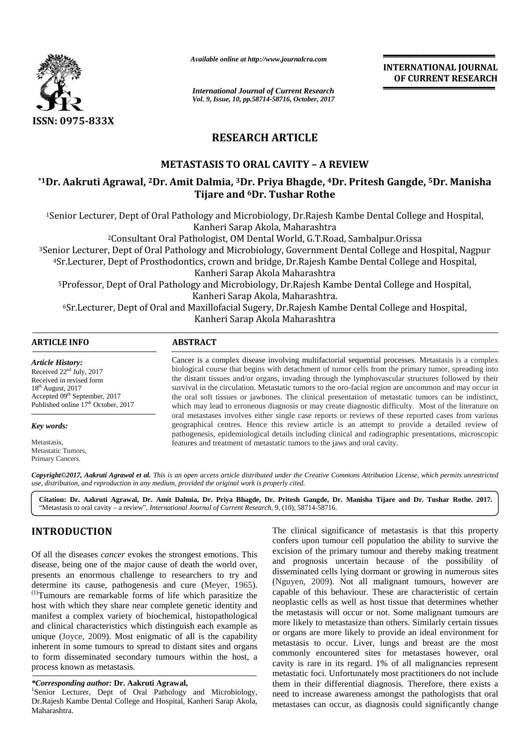

*Available online at http://www.journalcra.com*

*International Journal of Current Research Vol. 9, Issue, 10, pp.58714-58716, October, 2017* **INTERNATIONAL JOURNAL OF CURRENT RESEARCH**

# **RESEARCH ARTICLE**

# **METASTASIS TO ORAL CAVITY –A REVIEW**

# \*1Dr. Aakruti Agrawal, <sup>2</sup>Dr. Amit Dalmia, <sup>3</sup>Dr. Priya Bhagde, <sup>4</sup>Dr. Pritesh Gangde, <sup>5</sup>Dr. Manisha **Tijare and <sup>6</sup>Dr. Tushar Rothe**

<sup>1</sup>Senior Lecturer, Dept of Oral Pathology and Microbiology, Dr.Rajesh Kambe Dental College and Hospital, Kanheri Sarap Akola, Maharashtra

<sup>2</sup>Consultant Oral Pathologist, OM Dental World, G.T.Road, Sambalpur.Orissa

<sup>3</sup>Senior Lecturer, Dept of Oral Pathology and Microbiology, Government Dental College and Hospital, Nagpur 4Sr.Lecturer, Dept of Prosthodontics, crown and bridge, Dr.Rajesh Kambe Dental College and Hospital,<br>Kanheri Sarap Akola Maharashtra

Kanheri Sarap Akola Maharashtra

5Professor, Dept of Oral Pathology and Microbiology, Dr.Rajesh Kambe Dental College and Hospital, 5-Kanheri Sarap Akola, Maharashtra.

6Sr.Lecturer, Dept of Oral and Maxillofacial Sugery, Dr.Rajesh Kambe Dental College and Hospital, 6Sr. 1, 6Sr. Kanheri Sarap Akola Maharashtra

# **ARTICLE INFO ABSTRACT ARTICLE INFO**

*Article History:* Received  $22<sup>nd</sup>$  July, 2017 Received in revised form 18 th August, 2017 Accepted 09<sup>th</sup> September, 2017 Published online 17<sup>th</sup> October, 2017

*Key words: words:*

Metastasis, Metastatic Tumors, Tumors,Primary Cancers.

Cancer is a complex disease involving multifactorial sequential processes. Metastasis is a complex biological course that begins with detachment of tumor cells from the primary tumor, spreading into the distant tissues and/or organs, invading through the lymphovascular structures followed by their survival in the circulation. Metastatic tumors to the oro-facial region are uncommon and may occur in the oral soft tissues or jawbones. The clinical presentation of metastatic tumors can be indistinct, which may lead to erroneous diagnosis or may create diagnostic difficulty. Most of the literature on oral metastases involves either single case reports or reviews of these reported cases from various geographical centres. Hence this review article is an attempt to provide a detailed review of pathogenesis, epidemiological details including clinical and radiographic presentations, microscopic features and treatment of metastatic tumors to the jaws and oral cavity. cer is a complex disease involving multifactorial sequential processes. Metastasis is a complex ogical course that begins with detachment of tumor cells from the primary tumor, spreading into distant tissues and/or organs,

*Copyright©2017, Aakruti Agrawal et al. This is an open access article distributed under the Creative Commons Attribution License, which permits unrestricted al.*Copyright©2017, Aakruti Agrawal et al. This is an open access article distributed under the Crea<br>use, distribution, and reproduction in any medium, provided the original work is properly cited.

**Citation: Dr. Aakruti Agrawal, Dr. Amit Dalmia, Dr. Priya Bhagde, Dr. Pritesh Gangde, Dr. Manisha Tijare and Dr. Tushar Rothe. 2017.** "Metastasis to oral cavity – a review", *International Journal of Current Research*, 9, (10), 58714-58716.

# **INTRODUCTION INTRODUCTION**

Of all the diseases *cancer* evokes the strongest emotions. This disease, being one of the major cause of death the world over, presents an enormous challenge to researchers to try and Of all the diseases *cancer* evokes the strongest emotions. This disease, being one of the major cause of death the world over, presents an enormous challenge to researchers to try and determine its cause, pathogenesis an Of all the diseases *cancer* evokes the strongest emotions. This<br>
disease, being one of the major cause of death the world over,<br>
presents an enormous challenge to researchers to try and<br>
determine its cause, pathogenesis host with which they share near complete genetic identity and manifest a complex variety of biochemical, histopathological and clinical characteristics which distinguish each example as unique (Joyce, 2009). Most enigmatic of all is the capability inherent in some tumours to spread to distant sites and organs to form disseminated secondary tumours within the host, a process known as metastasis. host with which they share near complete genetic identity are manifest a complex variety of biochemical, histopathologic and clinical characteristics which distinguish each example inherent in some tumours to spread to dis

*\*Corresponding author:* **Dr. Aakruti Agrawal,** <sup>1</sup>Senior Lecturer, Dept of Oral Pathology and Microbiology, Dr.Rajesh Kambe Dental College and Hospital, Kanheri Sarap Akola, Maharashtra.

The clinical significance of metastasis is that this property confers upon tumour cell population the ability to survive the excision of the primary tumour and thereby making treatment and prognosis uncertain because of the possibility of disseminated cells lying dormant or growing in numerous sites (Nguyen, 2009). Not all malignant tumours, however are capable of this behaviour. These are characteristic of certain neoplastic cells as well as host tissue that determines whether the metastasis will occur or not. Some malignant tumours are more likely to metastasize than others. Similarly certain tissues or organs are more likely to provide an ideal environment for metastasis to occur. Liver, lungs and breast are the most commonly encountered sites for metastases however, oral cavity is rare in its regard. 1% of all malignancies represent metastatic foci. Unfortunately most practitioners do not include them in their differential diagnosis. Therefore, there exists a need to increase awareness amongst the pathologists that oral metastases can occur, as diagnosis could significantly change *\*Corresponding* 1Senior Lecturer, of Oral Dr.Rajesh Kanheri Maharashtra.is ability to and prognosis ofmalignant certainas likely likely an however, is malignancies Unfortunately practitioners do them in to awareness change*Current Research***INTERNATIONAL***Article History:*2017revised formthSeptember, **Dr. Dr. Amit Dr.** to oral cavitya *of*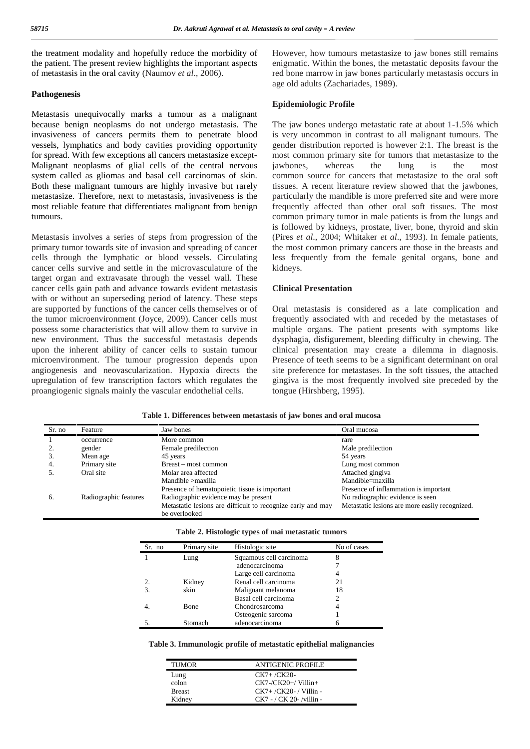the treatment modality and hopefully reduce the morbidity of the patient. The present review highlights the important aspects of metastasis in the oral cavity (Naumov *et al*., 2006).

#### **Pathogenesis**

Metastasis unequivocally marks a tumour as a malignant because benign neoplasms do not undergo metastasis. The invasiveness of cancers permits them to penetrate blood vessels, lymphatics and body cavities providing opportunity for spread. With few exceptions all cancers metastasize except- Malignant neoplasms of glial cells of the central nervous system called as gliomas and basal cell carcinomas of skin. Both these malignant tumours are highly invasive but rarely metastasize. Therefore, next to metastasis, invasiveness is the most reliable feature that differentiates malignant from benign tumours.

Metastasis involves a series of steps from progression of the primary tumor towards site of invasion and spreading of cancer cells through the lymphatic or blood vessels. Circulating cancer cells survive and settle in the microvasculature of the target organ and extravasate through the vessel wall. These cancer cells gain path and advance towards evident metastasis with or without an superseding period of latency. These steps are supported by functions of the cancer cells themselves or of the tumor microenvironment (Joyce, 2009). Cancer cells must possess some characteristics that will allow them to survive in new environment. Thus the successful metastasis depends upon the inherent ability of cancer cells to sustain tumour microenvironment. The tumour progression depends upon angiogenesis and neovascularization. Hypoxia directs the upregulation of few transcription factors which regulates the proangiogenic signals mainly the vascular endothelial cells.

However, how tumours metastasize to jaw bones still remains enigmatic. Within the bones, the metastatic deposits favour the red bone marrow in jaw bones particularly metastasis occurs in age old adults (Zachariades, 1989).

#### **Epidemiologic Profile**

The jaw bones undergo metastatic rate at about 1-1.5% which is very uncommon in contrast to all malignant tumours. The gender distribution reported is however 2:1. The breast is the most common primary site for tumors that metastasize to the jawbones, whereas the lung is the most common source for cancers that metastasize to the oral soft tissues. A recent literature review showed that the jawbones, particularly the mandible is more preferred site and were more frequently affected than other oral soft tissues. The most common primary tumor in male patients is from the lungs and is followed by kidneys, prostate, liver, bone, thyroid and skin (Pires *et al*., 2004; Whitaker *et al*., 1993). In female patients, the most common primary cancers are those in the breasts and less frequently from the female genital organs, bone and kidneys.

## **Clinical Presentation**

Oral metastasis is considered as a late complication and frequently associated with and receded by the metastases of multiple organs. The patient presents with symptoms like dysphagia, disfigurement, bleeding difficulty in chewing. The clinical presentation may create a dilemma in diagnosis. Presence of teeth seems to be a significant determinant on oral site preference for metastases. In the soft tissues, the attached gingiva is the most frequently involved site preceded by the tongue (Hirshberg, 1995).

|  | Table 1. Differences between metastasis of jaw bones and oral mucosa |  |  |  |  |  |  |  |
|--|----------------------------------------------------------------------|--|--|--|--|--|--|--|
|--|----------------------------------------------------------------------|--|--|--|--|--|--|--|

| Sr. no | Feature               | Jaw bones                                                                    | Oral mucosa                                    |
|--------|-----------------------|------------------------------------------------------------------------------|------------------------------------------------|
|        | occurrence            | More common                                                                  | rare                                           |
|        | gender                | Female predilection                                                          | Male predilection                              |
|        | Mean age              | 45 years                                                                     | 54 years                                       |
| 4.     | Primary site          | Breast – most common                                                         | Lung most common                               |
|        | Oral site             | Molar area affected                                                          | Attached gingiva                               |
|        |                       | $M$ andible $>$ maxilla                                                      | Mandible=maxilla                               |
|        |                       | Presence of hematopoietic tissue is important                                | Presence of inflammation is important          |
| 6.     | Radiographic features | Radiographic evidence may be present                                         | No radiographic evidence is seen               |
|        |                       | Metastatic lesions are difficult to recognize early and may<br>be overlooked | Metastatic lesions are more easily recognized. |

| Sr. no | Primary site | Histologic site         | No of cases |
|--------|--------------|-------------------------|-------------|
|        | Lung         | Squamous cell carcinoma |             |
|        |              | adenocarcinoma          |             |
|        |              | Large cell carcinoma    |             |
|        | Kidney       | Renal cell carcinoma    | 21          |
|        | skin         | Malignant melanoma      | 18          |
|        |              | Basal cell carcinoma    |             |
|        | Bone         | Chondrosarcoma          |             |
|        |              | Osteogenic sarcoma      |             |
|        | Stomach      | adenocarcinoma          |             |

**Table 3. Immunologic profile of metastatic epithelial malignancies**

| <b>TUMOR</b>  | <b>ANTIGENIC PROFILE</b>   |
|---------------|----------------------------|
| Lung          | $CK7 + /CK20-$             |
| colon         | $CK7 - / CK20 + /$ Villin+ |
| <b>Breast</b> | $CK7+ / CK20- /$ Villin -  |
| Kidney        | $CK7 - / CK$ 20-/villin -  |